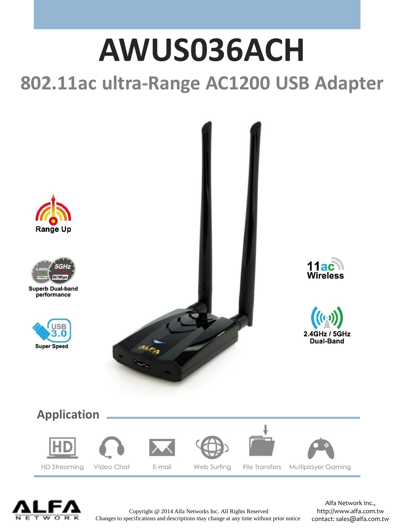## **AWUS036ACH 802.11ac ultra-Range AC1200 USB Adapter**





**Superb Dual-band** performance













Copyright @ 2014 Alfa Networks Inc. All Rights Reserved Changes to specifications and descriptions may change at any time without prior notice

Alfa Network Inc., http://www.alfa.com.tw contact: sales@alfa.com.tw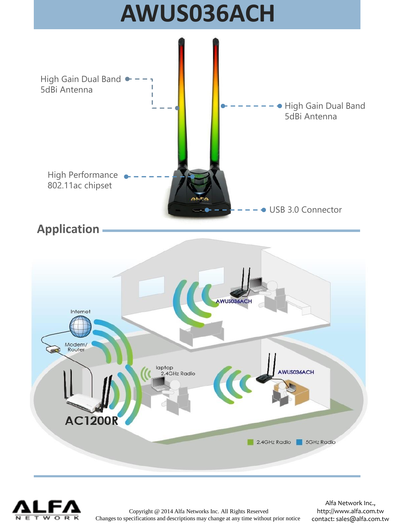



Copyright @ 2014 Alfa Networks Inc. All Rights Reserved Changes to specifications and descriptions may change at any time without prior notice

Alfa Network Inc., http://www.alfa.com.tw contact: sales@alfa.com.tw